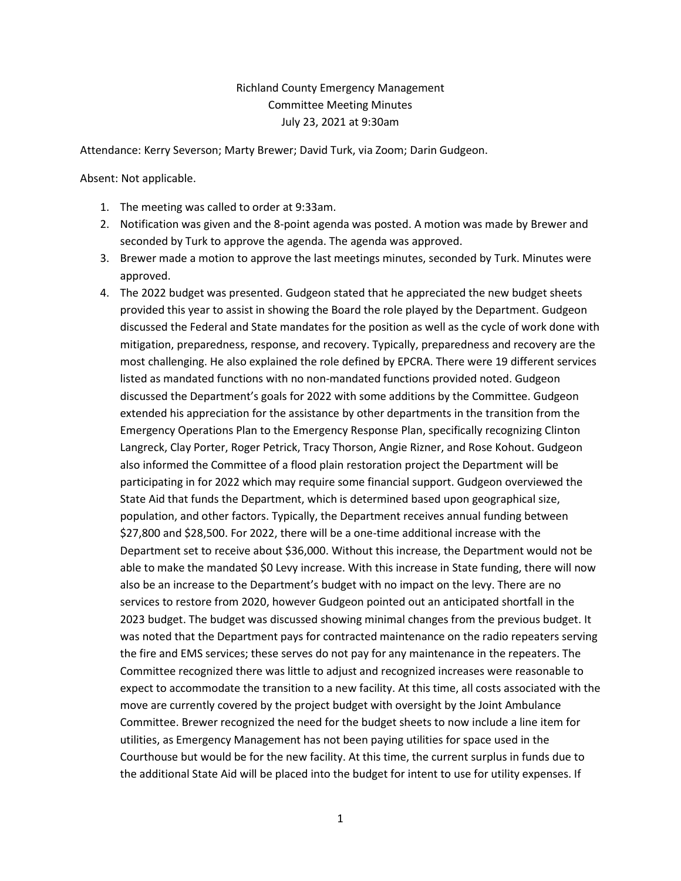## Richland County Emergency Management Committee Meeting Minutes July 23, 2021 at 9:30am

Attendance: Kerry Severson; Marty Brewer; David Turk, via Zoom; Darin Gudgeon.

Absent: Not applicable.

- 1. The meeting was called to order at 9:33am.
- 2. Notification was given and the 8-point agenda was posted. A motion was made by Brewer and seconded by Turk to approve the agenda. The agenda was approved.
- 3. Brewer made a motion to approve the last meetings minutes, seconded by Turk. Minutes were approved.
- 4. The 2022 budget was presented. Gudgeon stated that he appreciated the new budget sheets provided this year to assist in showing the Board the role played by the Department. Gudgeon discussed the Federal and State mandates for the position as well as the cycle of work done with mitigation, preparedness, response, and recovery. Typically, preparedness and recovery are the most challenging. He also explained the role defined by EPCRA. There were 19 different services listed as mandated functions with no non-mandated functions provided noted. Gudgeon discussed the Department's goals for 2022 with some additions by the Committee. Gudgeon extended his appreciation for the assistance by other departments in the transition from the Emergency Operations Plan to the Emergency Response Plan, specifically recognizing Clinton Langreck, Clay Porter, Roger Petrick, Tracy Thorson, Angie Rizner, and Rose Kohout. Gudgeon also informed the Committee of a flood plain restoration project the Department will be participating in for 2022 which may require some financial support. Gudgeon overviewed the State Aid that funds the Department, which is determined based upon geographical size, population, and other factors. Typically, the Department receives annual funding between \$27,800 and \$28,500. For 2022, there will be a one-time additional increase with the Department set to receive about \$36,000. Without this increase, the Department would not be able to make the mandated \$0 Levy increase. With this increase in State funding, there will now also be an increase to the Department's budget with no impact on the levy. There are no services to restore from 2020, however Gudgeon pointed out an anticipated shortfall in the 2023 budget. The budget was discussed showing minimal changes from the previous budget. It was noted that the Department pays for contracted maintenance on the radio repeaters serving the fire and EMS services; these serves do not pay for any maintenance in the repeaters. The Committee recognized there was little to adjust and recognized increases were reasonable to expect to accommodate the transition to a new facility. At this time, all costs associated with the move are currently covered by the project budget with oversight by the Joint Ambulance Committee. Brewer recognized the need for the budget sheets to now include a line item for utilities, as Emergency Management has not been paying utilities for space used in the Courthouse but would be for the new facility. At this time, the current surplus in funds due to the additional State Aid will be placed into the budget for intent to use for utility expenses. If